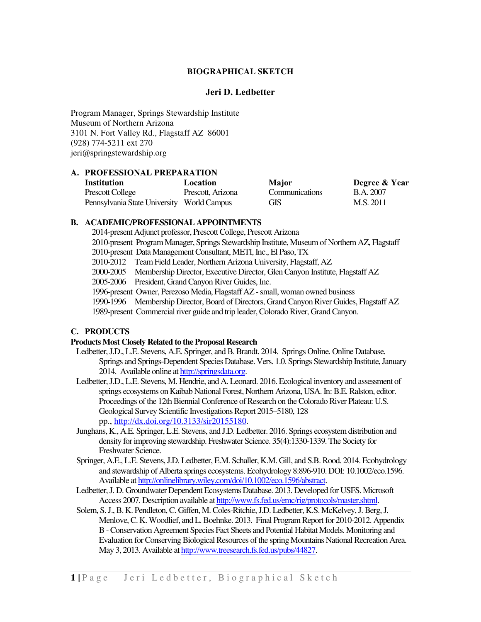# **BIOGRAPHICAL SKETCH**

#### **Jeri D. Ledbetter**

Program Manager, Springs Stewardship Institute Museum of Northern Arizona 3101 N. Fort Valley Rd., Flagstaff AZ 86001 (928) 774-5211 ext 270 jeri@springstewardship.org

#### **A. PROFESSIONAL PREPARATION**

| Institution                                | Location          | <b>Major</b>          | Degree & Year |
|--------------------------------------------|-------------------|-----------------------|---------------|
| Prescott College                           | Prescott, Arizona | <b>Communications</b> | B.A. 2007     |
| Pennsylvania State University World Campus |                   | <b>GIS</b>            | M.S. 2011     |

#### **B. ACADEMIC/PROFESSIONAL APPOINTMENTS**

2014-present Adjunct professor, Prescott College, Prescott Arizona

2010-present Program Manager, Springs Stewardship Institute, Museum of Northern AZ, Flagstaff

2010-present Data Management Consultant, METI, Inc., El Paso, TX

2010-2012 Team Field Leader, Northern Arizona University, Flagstaff, AZ

2000-2005 Membership Director, Executive Director, Glen Canyon Institute, Flagstaff AZ

2005-2006 President, Grand Canyon River Guides, Inc.

1996-present Owner, Perezoso Media, Flagstaff AZ - small, woman owned business

1990-1996 Membership Director, Board of Directors, Grand Canyon River Guides, Flagstaff AZ

1989-present Commercial river guide and trip leader, Colorado River, Grand Canyon.

# **C. PRODUCTS**

# **Products Most Closely Related to the Proposal Research**

- Ledbetter, J.D., L.E. Stevens, A.E. Springer, and B. Brandt. 2014. Springs Online. Online Database. Springs and Springs-Dependent Species Database. Vers. 1.0. Springs Stewardship Institute, January 2014. Available online a[t http://springsdata.org.](http://springsdata.org/)
- Ledbetter, J.D., L.E. Stevens, M. Hendrie, and A. Leonard. 2016. Ecological inventory and assessment of springs ecosystems on Kaibab National Forest, Northern Arizona, USA. In: B.E. Ralston, editor. Proceedings of the 12th Biennial Conference of Research on the Colorado River Plateau: U.S. Geological Survey Scientific Investigations Report 2015–5180, 128 pp., [http://dx.doi.org/10.3133/sir20155180.](http://dx.doi.org/10.3133/sir20155180)
- Junghans, K., A.E. Springer, L.E. Stevens, and J.D. Ledbetter. 2016. Springs ecosystem distribution and density for improving stewardship. Freshwater Science. 35(4):1330-1339. The Society for Freshwater Science.
- Springer, A.E., L.E. Stevens, J.D. Ledbetter, E.M. Schaller, K.M. Gill, and S.B. Rood. 2014. Ecohydrology and stewardship of Alberta springs ecosystems. Ecohydrology 8:896-910. DOI: 10.1002/eco.1596. Available a[t http://onlinelibrary.wiley.com/doi/10.1002/eco.1596/abstract.](http://onlinelibrary.wiley.com/doi/10.1002/eco.1596/abstract)
- Ledbetter, J. D. Groundwater Dependent Ecosystems Database. 2013. Developed for USFS. Microsoft Access 2007. Description available a[t http://www.fs.fed.us/emc/rig/protocols/master.shtml.](http://www.fs.fed.us/emc/rig/protocols/master.shtml)
- Solem, S. J., B. K. Pendleton, C. Giffen, M. Coles-Ritchie, J.D. Ledbetter, K.S. McKelvey, J. Berg, J. Menlove, C. K. Woodlief, and L. Boehnke. 2013. Final Program Report for 2010-2012. Appendix B - Conservation Agreement Species Fact Sheets and Potential Habitat Models. Monitoring and Evaluation for Conserving Biological Resources of the spring Mountains National Recreation Area. May 3, 2013. Available a[t http://www.treesearch.fs.fed.us/pubs/44827.](http://www.treesearch.fs.fed.us/pubs/44827)